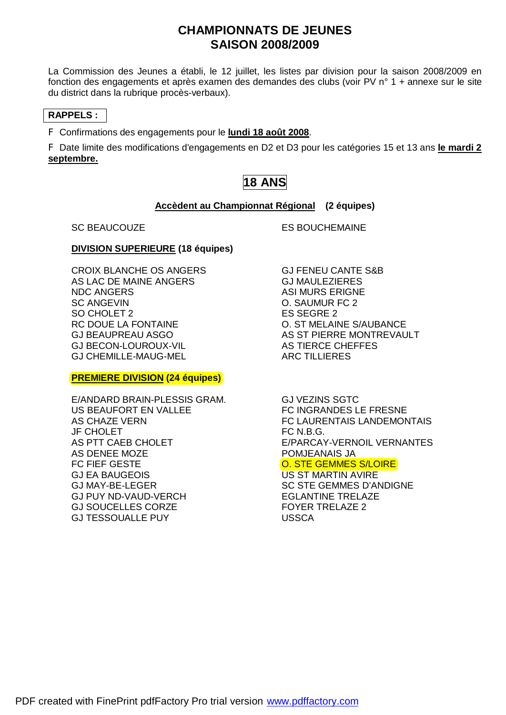## **CHAMPIONNATS DE JEUNES SAISON 2008/2009**

La Commission des Jeunes a établi, le 12 juillet, les listes par division pour la saison 2008/2009 en fonction des engagements et après examen des demandes des clubs (voir PV n° 1 + annexe sur le site du district dans la rubrique procès-verbaux).

### **RAPPELS :**

F Confirmations des engagements pour le **lundi 18 août 2008**.

F Date limite des modifications d'engagements en D2 et D3 pour les catégories 15 et 13 ans **le mardi 2 septembre.**

## **18 ANS**

#### **Accèdent au Championnat Régional (2 équipes)**

SC BEAUCOUZE ES BOUCHEMAINE

#### **DIVISION SUPERIEURE (18 équipes)**

CROIX BLANCHE OS ANGERS GJ FENEU CANTE S&B AS LAC DE MAINE ANGERS GJ MAULEZIERES<br>NDC ANGERS ASI MURS ERIGNE SC ANGEVING THE SC ANGELER CONSTRUCTION OF SAUMUR FC 2 SO CHOLET 2 ES SEGRE 2 RC DOUE LA FONTAINE **CONTAINE CONSTRUCTS** O. ST MELAINE S/AUBANCE GJ BECON-LOUROUX-VIL AS TIERCE CHEFFES GJ CHEMILLE-MAUG-MEL ARC TILLIERES

#### **PREMIERE DIVISION (24 équipes)**

E/ANDARD BRAIN-PLESSIS GRAM. GJ VEZINS SGTC US BEAUFORT EN VALLEE FALLED FC INGRANDES LE FRESNE JF CHOLET FC N.B.G. AS DENEE MOZE POMJEANAIS JA FC FIEF GESTE ORDER THE O. STE GEMMES S/LOIRE GJ EA BAUGEOIS US ST MARTIN AVIRE GJ MAY-BE-LEGER SC STE GEMMES D'ANDIGNE GJ PUY ND-VAUD-VERCH EGLANTINE TRELAZE GJ SOUCELLES CORZE FOYER TRELAZE 2 GJ TESSOUALLE PUY USSCA

**ASI MURS ERIGNE** GJ BEAUPREAU ASGO AS ST PIERRE MONTREVAULT

AS CHAZE VERN FC LAURENTAIS LANDEMONTAIS AS PTT CAEB CHOLET E/PARCAY-VERNOIL VERNANTES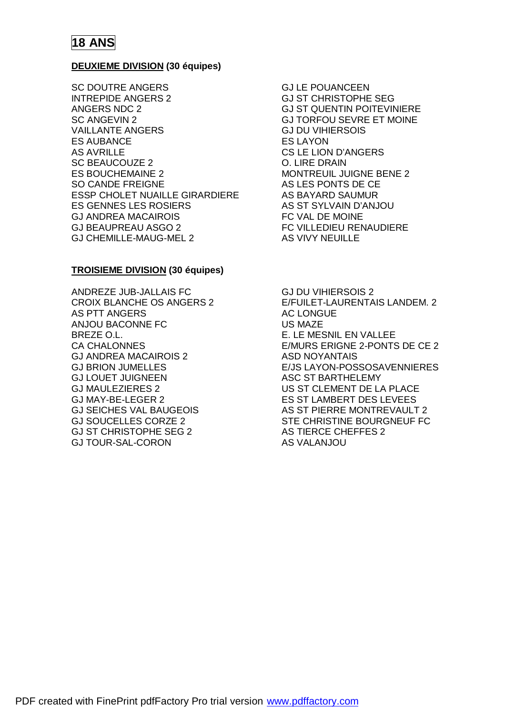#### **DEUXIEME DIVISION (30 équipes)**

SC DOUTRE ANGERS GJ LE POUANCEEN INTREPIDE ANGERS 2 GJ ST CHRISTOPHE SEG ANGERS NDC 2 GJ ST QUENTIN POITEVINIERE SC ANGEVIN 2 GJ TORFOU SEVRE ET MOINE VAILLANTE ANGERS GJ DU VIHIERSOIS ES AUBANCE ES LAYON AS AVRILLE CS LE LION D'ANGERS SC BEAUCOUZE 2 O. LIRE DRAIN ES BOUCHEMAINE 2 MONTREUIL JUIGNE BENE 2 SO CANDE FREIGNE AS LES PONTS DE CE ESSP CHOLET NUAILLE GIRARDIERE AS BAYARD SAUMUR ES GENNES LES ROSIERS AS ST SYLVAIN D'ANJOU GJ ANDREA MACAIROIS FC VAL DE MOINE GJ BEAUPREAU ASGO 2 FC VILLEDIEU RENAUDIERE GJ CHEMILLE-MAUG-MEL 2 AS VIVY NEUILLE

#### **TROISIEME DIVISION (30 équipes)**

ANDREZE JUB-JALLAIS FC GJ DU VIHIERSOIS 2 AS PTT ANGERS AC LONGUE ANJOU BACONNE FC US MAZE BREZE O.L. **E. LE MESNIL EN VALLEE** GJ ANDREA MACAIROIS 2 ASD NOYANTAIS GJ LOUET JUIGNEEN ASC ST BARTHELEMY GJ MAULEZIERES 2 US ST CLEMENT DE LA PLACE GJ MAY-BE-LEGER 2 ES ST LAMBERT DES LEVEES GJ ST CHRISTOPHE SEG 2 AS TIERCE CHEFFES 2 GJ TOUR-SAL-CORON AS VALANJOU

CROIX BLANCHE OS ANGERS 2 E/FUILET-LAURENTAIS LANDEM. 2 CA CHALONNES E/MURS ERIGNE 2-PONTS DE CE 2 GJ BRION JUMELLES E/JS LAYON-POSSOSAVENNIERES GJ SEICHES VAL BAUGEOIS AS ST PIERRE MONTREVAULT 2 GJ SOUCELLES CORZE 2 STE CHRISTINE BOURGNEUF FC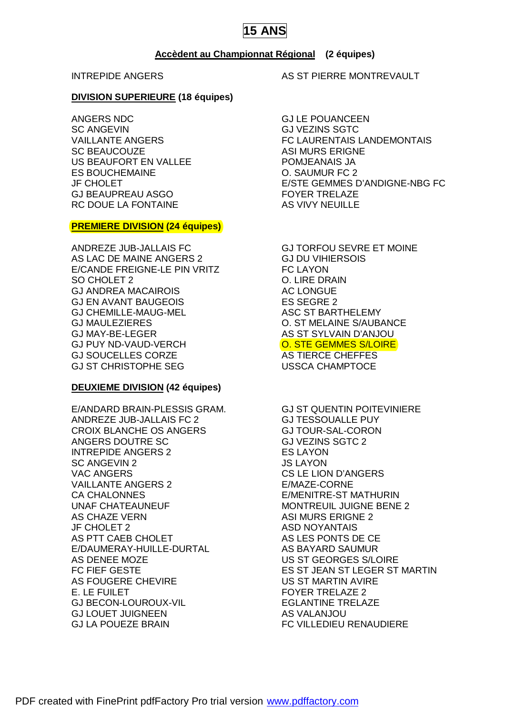### **Accèdent au Championnat Régional (2 équipes)**

#### **DIVISION SUPERIEURE (18 équipes)**

ANGERS NDC GJ LE POUANCEEN SC ANGEVING ANGELING CULTURAL CONTROL CONTROL CONTROL CONTROL CONTROL CONTROL CONTROL CONTROL CONTROL CONTROL CONTROL CONTROL CONTROL CONTROL CONTROL CONTROL CONTROL CONTROL CONTROL CONTROL CONTROL CONTROL CONTROL CONTROL SC BEAUCOUZE ASI MURS ERIGNE US BEAUFORT EN VALLEE POMJEANAIS JA ES BOUCHEMAINE O. SAUMUR FC 2 GJ BEAUPREAU ASGO FOYER TRELAZE RC DOUE LA FONTAINE AS VIVY NEUILLE

#### **PREMIERE DIVISION (24 équipes)**

ANDREZE JUB-JALLAIS FC GJ TORFOU SEVRE ET MOINE AS LAC DE MAINE ANGERS 2 GJ DU VIHIERSOIS E/CANDE FREIGNE-LE PIN VRITZ FC LAYON SO CHOLET 2 C. LIRE DRAIN GJ ANDREA MACAIROIS AC LONGUE GJ EN AVANT BAUGEOIS ES SEGRE 2 GJ CHEMILLE-MAUG-MEL ASC ST BARTHELEMY GJ MAULEZIERES O. ST MELAINE S/AUBANCE GJ MAY-BE-LEGER AS ST SYLVAIN D'ANJOU GJ PUY ND-VAUD-VERCH **O. STE GEMMES S/LOIRE** GJ SOUCELLES CORZE **AS TIERCE CHEFFES** GJ ST CHRISTOPHE SEG USSCA CHAMPTOCE

### **DEUXIEME DIVISION (42 équipes)**

E/ANDARD BRAIN-PLESSIS GRAM. GJ ST QUENTIN POITEVINIERE ANDREZE JUB-JALLAIS FC 2 GJ TESSOUALLE PUY CROIX BLANCHE OS ANGERS GJ TOUR-SAL-CORON ANGERS DOUTRE SC GJ VEZINS SGTC 2 INTREPIDE ANGERS 2 ES LAYON SC ANGEVIN 2 JS LAYON VAC ANGERS CS LE LION D'ANGERS VAILLANTE ANGERS 2 E/MAZE-CORNE CA CHALONNES E/MENITRE-ST MATHURIN UNAF CHATEAUNEUF **MONTREUIL JUIGNE BENE 2** AS CHAZE VERN ASI MURS ERIGNE 2 JF CHOLET 2 ASD NOYANTAIS AS PTT CAEB CHOLET AS LES PONTS DE CE E/DAUMERAY-HUILLE-DURTAL AS BAYARD SAUMUR AS DENEE MOZE US ST GEORGES S/LOIRE AS FOUGERE CHEVIRE US ST MARTIN AVIRE E. LE FUILET FOYER TRELAZE 2 GJ BECON-LOUROUX-VIL **EGLANTINE TRELAZE** GJ LOUET JUIGNEEN AS VALANJOU GJ LA POUEZE BRAIN FC VILLEDIEU RENAUDIERE

INTREPIDE ANGERS AS ST PIERRE MONTREVAULT

VAILLANTE ANGERS FC LAURENTAIS LANDEMONTAIS JF CHOLET E/STE GEMMES D'ANDIGNE-NBG FC

FC FIEF GESTE ES ST JEAN ST LEGER ST MARTIN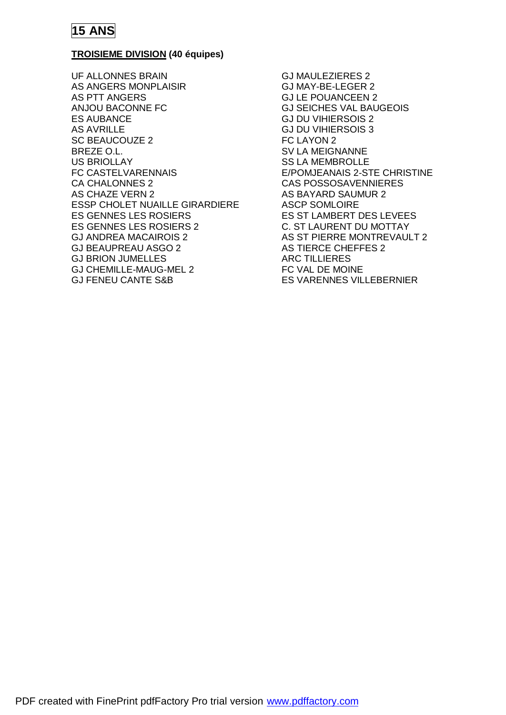

### **TROISIEME DIVISION (40 équipes)**

UF ALLONNES BRAIN GJ MAULEZIERES 2 AS ANGERS MONPLAISIR GJ MAY-BE-LEGER 2 AS PTT ANGERS GJ LE POUANCEEN 2 ANJOU BACONNE FC GJ SEICHES VAL BAUGEOIS ES AUBANCE GJ DU VIHIERSOIS 2 AS AVRILLE GJ DU VIHIERSOIS 3 SC BEAUCOUZE 2 FC LAYON 2 BREZE O.L. SV LA MEIGNANNE US BRIOLLAY SS LA MEMBROLLE FC CASTELVARENNAIS E/POMJEANAIS 2-STE CHRISTINE CA CHALONNES 2 CAS POSSOSAVENNIERES AS CHAZE VERN 2 AS BAYARD SAUMUR 2 ESSP CHOLET NUAILLE GIRARDIERE ASCP SOMLOIRE ES GENNES LES ROSIERS ES ST LAMBERT DES LEVEES ES GENNES LES ROSIERS 2 C. ST LAURENT DU MOTTAY GJ ANDREA MACAIROIS 2 AS ST PIERRE MONTREVAULT 2 GJ BEAUPREAU ASGO 2 AS TIERCE CHEFFES 2 GJ BRION JUMELLES ARC TILLIERES GJ CHEMILLE-MAUG-MEL 2 FC VAL DE MOINE GJ FENEU CANTE S&B ES VARENNES VILLEBERNIER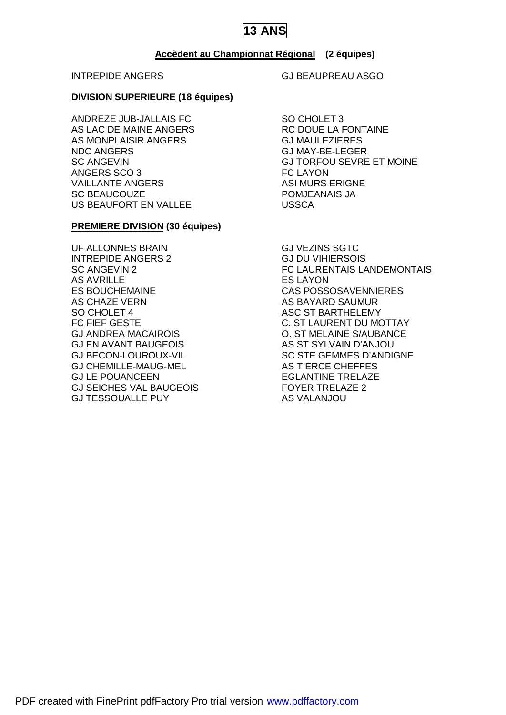#### **Accèdent au Championnat Régional (2 équipes)**

#### **DIVISION SUPERIEURE (18 équipes)**

ANDREZE JUB-JALLAIS FC SO CHOLET 3 AS LAC DE MAINE ANGERS RC DOUE LA FONTAINE AS MONPLAISIR ANGERS GJ MAULEZIERES NDC ANGERS GJ MAY-BE-LEGER ANGERS SCO 3 FC LAYON VAILLANTE ANGERS **ASI MURS ERIGNE** SC BEAUCOUZE POMJEANAIS JA US BEAUFORT EN VALLEE USSCA

#### **PREMIERE DIVISION (30 équipes)**

UF ALLONNES BRAIN GJ VEZINS SGTC INTREPIDE ANGERS 2 GJ DU VIHIERSOIS AS AVRILLE ES LAYON ES BOUCHEMAINE CAS POSSOSAVENNIERES AS CHAZE VERN AS BAYARD SAUMUR SO CHOLET 4 ASC ST BARTHELEMY GJ ANDREA MACAIROIS O. ST MELAINE S/AUBANCE GJ EN AVANT BAUGEOIS AS ST SYLVAIN D'ANJOU GJ CHEMILLE-MAUG-MEL AS TIERCE CHEFFES GJ LE POUANCEEN EGLANTINE TRELAZE GJ SEICHES VAL BAUGEOIS FOYER TRELAZE 2 GJ TESSOUALLE PUY AS VALANJOU

INTREPIDE ANGERS GJ BEAUPREAU ASGO

SC ANGEVIN GJ TORFOU SEVRE ET MOINE

SC ANGEVIN 2 **FC LAURENTAIS LANDEMONTAIS** FC FIEF GESTE **C. ST LAURENT DU MOTTAY** GJ BECON-LOUROUX-VIL SC STE GEMMES D'ANDIGNE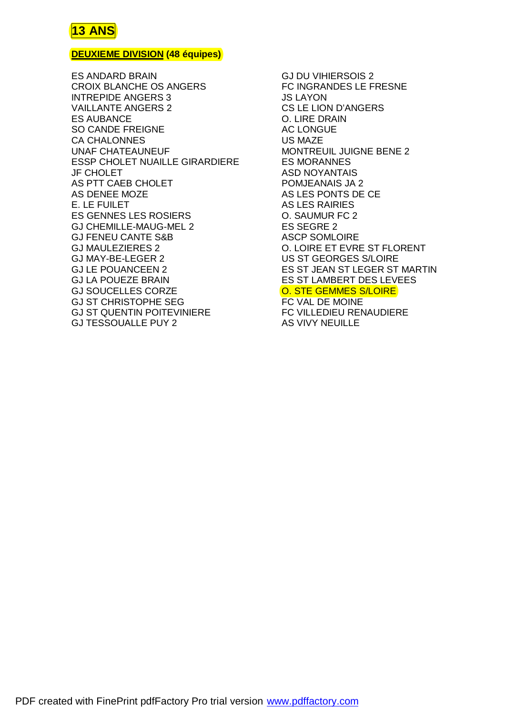### **DEUXIEME DIVISION (48 équipes)**

ES ANDARD BRAIN GJ DU VIHIERSOIS 2 CROIX BLANCHE OS ANGERS FC INGRANDES LE FRESNE INTREPIDE ANGERS 3 JS LAYON VAILLANTE ANGERS 2 CS LE LION D'ANGERS ES AUBANCE O. LIRE DRAIN SO CANDE FREIGNE AC LONGUE CA CHALONNES US MAZE UNAF CHATEAUNEUF MONTREUIL JUIGNE BENE 2 ESSP CHOLET NUAILLE GIRARDIERE ES MORANNES JF CHOLET ASD NOYANTAIS AS PTT CAEB CHOLET **EXAMPLE POMJEANAIS JA 2** AS DENEE MOZE AS LES PONTS DE CE E. LE FUILET AS LES RAIRIES ES GENNES LES ROSIERS O. SAUMUR FC 2 GJ CHEMILLE-MAUG-MEL 2 ES SEGRE 2 GJ FENEU CANTE S&B ASCP SOMLOIRE GJ MAULEZIERES 2 O. LOIRE ET EVRE ST FLORENT GJ MAY-BE-LEGER 2 US ST GEORGES S/LOIRE GJ LE POUANCEEN 2 ES ST JEAN ST LEGER ST MARTIN GJ LA POUEZE BRAIN ES ST LAMBERT DES LEVEES GJ SOUCELLES CORZE **O. STE GEMMES S/LOIRE** GJ ST CHRISTOPHE SEG FC VAL DE MOINE GJ ST QUENTIN POITEVINIERE FC VILLEDIEU RENAUDIERE GJ TESSOUALLE PUY 2 AS VIVY NEUILLE